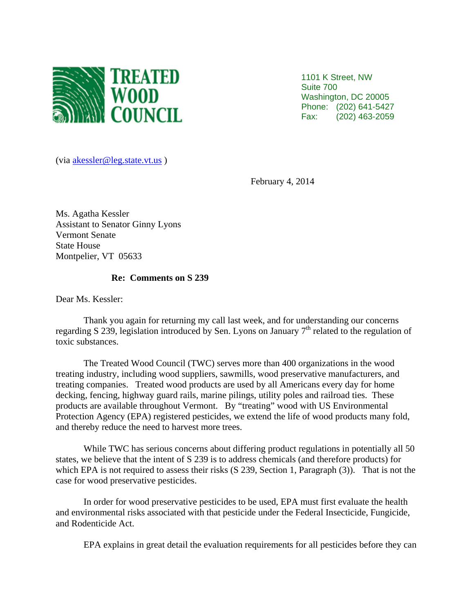

1101 K Street, NW Suite 700 Washington, DC 20005 Phone: (202) 641-5427 Fax: (202) 463-2059

(via akessler@leg.state.vt.us )

February 4, 2014

Ms. Agatha Kessler Assistant to Senator Ginny Lyons Vermont Senate State House Montpelier, VT 05633

## **Re: Comments on S 239**

Dear Ms. Kessler:

Thank you again for returning my call last week, and for understanding our concerns regarding S 239, legislation introduced by Sen. Lyons on January  $7<sup>th</sup>$  related to the regulation of toxic substances.

The Treated Wood Council (TWC) serves more than 400 organizations in the wood treating industry, including wood suppliers, sawmills, wood preservative manufacturers, and treating companies. Treated wood products are used by all Americans every day for home decking, fencing, highway guard rails, marine pilings, utility poles and railroad ties. These products are available throughout Vermont. By "treating" wood with US Environmental Protection Agency (EPA) registered pesticides, we extend the life of wood products many fold, and thereby reduce the need to harvest more trees.

While TWC has serious concerns about differing product regulations in potentially all 50 states, we believe that the intent of S 239 is to address chemicals (and therefore products) for which EPA is not required to assess their risks (S 239, Section 1, Paragraph (3)). That is not the case for wood preservative pesticides.

In order for wood preservative pesticides to be used, EPA must first evaluate the health and environmental risks associated with that pesticide under the Federal Insecticide, Fungicide, and Rodenticide Act.

EPA explains in great detail the evaluation requirements for all pesticides before they can